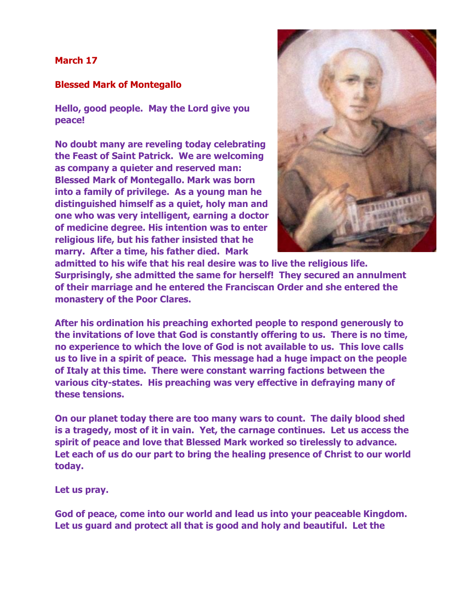## **March 17**

## **Blessed Mark of Montegallo**

**Hello, good people. May the Lord give you peace!**

**No doubt many are reveling today celebrating the Feast of Saint Patrick. We are welcoming as company a quieter and reserved man: Blessed Mark of Montegallo. Mark was born into a family of privilege. As a young man he distinguished himself as a quiet, holy man and one who was very intelligent, earning a doctor of medicine degree. His intention was to enter religious life, but his father insisted that he marry. After a time, his father died. Mark** 



**admitted to his wife that his real desire was to live the religious life. Surprisingly, she admitted the same for herself! They secured an annulment of their marriage and he entered the Franciscan Order and she entered the monastery of the Poor Clares.**

**After his ordination his preaching exhorted people to respond generously to the invitations of love that God is constantly offering to us. There is no time, no experience to which the love of God is not available to us. This love calls us to live in a spirit of peace. This message had a huge impact on the people of Italy at this time. There were constant warring factions between the various city-states. His preaching was very effective in defraying many of these tensions.**

**On our planet today there are too many wars to count. The daily blood shed is a tragedy, most of it in vain. Yet, the carnage continues. Let us access the spirit of peace and love that Blessed Mark worked so tirelessly to advance. Let each of us do our part to bring the healing presence of Christ to our world today.**

**Let us pray.**

**God of peace, come into our world and lead us into your peaceable Kingdom. Let us guard and protect all that is good and holy and beautiful. Let the**